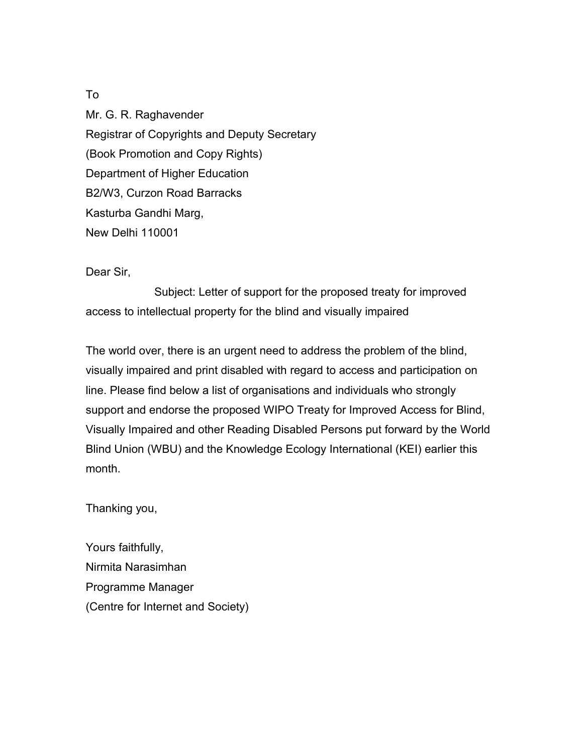Mr. G. R. Raghavender Registrar of Copyrights and Deputy Secretary (Book Promotion and Copy Rights) Department of Higher Education B2/W3, Curzon Road Barracks Kasturba Gandhi Marg, New Delhi 110001

Dear Sir,

Subject: Letter of support for the proposed treaty for improved access to intellectual property for the blind and visually impaired

The world over, there is an urgent need to address the problem of the blind, visually impaired and print disabled with regard to access and participation on line. Please find below a list of organisations and individuals who strongly support and endorse the proposed WIPO Treaty for Improved Access for Blind, Visually Impaired and other Reading Disabled Persons put forward by the World Blind Union (WBU) and the Knowledge Ecology International (KEI) earlier this month.

Thanking you,

Yours faithfully, Nirmita Narasimhan Programme Manager (Centre for Internet and Society)

To